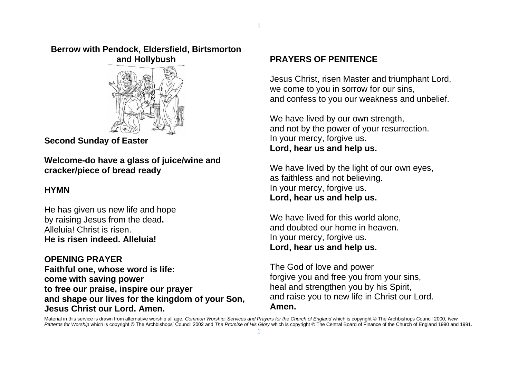#### **Berrow with Pendock, Eldersfield, Birtsmorton and Hollybush**



**Second Sunday of Easter**

**Welcome-do have a glass of juice/wine and cracker/piece of bread ready**

# **HYMN**

He has given us new life and hope by raising Jesus from the dead**.** Alleluia! Christ is risen. **He is risen indeed. Alleluia!**

**OPENING PRAYER Faithful one, whose word is life: come with saving power to free our praise, inspire our prayer and shape our lives for the kingdom of your Son, Jesus Christ our Lord. Amen.**

### **PRAYERS OF PENITENCE**

Jesus Christ, risen Master and triumphant Lord, we come to you in sorrow for our sins, and confess to you our weakness and unbelief.

We have lived by our own strength, and not by the power of your resurrection. In your mercy, forgive us. **Lord, hear us and help us.**

We have lived by the light of our own eyes, as faithless and not believing. In your mercy, forgive us. **Lord, hear us and help us.**

We have lived for this world alone. and doubted our home in heaven. In your mercy, forgive us. **Lord, hear us and help us.**

The God of love and power forgive you and free you from your sins, heal and strengthen you by his Spirit, and raise you to new life in Christ our Lord. **Amen.**

Material in this service is drawn from alternative worship all age, *Common Worship: Services and Prayers for the Church of England* which is copyright © The Archbishops Council 2000, *New* Patterns for Worship which is copyright © The Archbishops' Council 2002 and The Promise of His Glory which is copyright © The Central Board of Finance of the Church of England 1990 and 1991. 1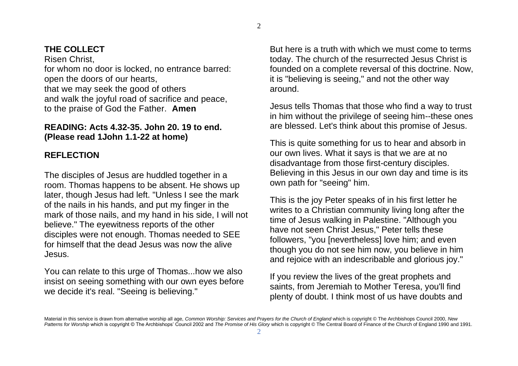# **THE COLLECT**

Risen Christ, for whom no door is locked, no entrance barred: open the doors of our hearts, that we may seek the good of others and walk the joyful road of sacrifice and peace, to the praise of God the Father. **Amen**

### **READING: Acts 4.32-35. John 20. 19 to end. (Please read 1John 1.1-22 at home)**

### **REFLECTION**

The disciples of Jesus are huddled together in a room. Thomas happens to be absent. He shows up later, though Jesus had left. "Unless I see the mark of the nails in his hands, and put my finger in the mark of those nails, and my hand in his side, I will not believe." The eyewitness reports of the other disciples were not enough. Thomas needed to SEE for himself that the dead Jesus was now the alive Jesus.

You can relate to this urge of Thomas...how we also insist on seeing something with our own eyes before we decide it's real. "Seeing is believing."

But here is a truth with which we must come to terms today. The church of the resurrected Jesus Christ is founded on a complete reversal of this doctrine. Now, it is "believing is seeing," and not the other way around.

Jesus tells Thomas that those who find a way to trust in him without the privilege of seeing him--these ones are blessed. Let's think about this promise of Jesus.

This is quite something for us to hear and absorb in our own lives. What it says is that we are at no disadvantage from those first-century disciples. Believing in this Jesus in our own day and time is its own path for "seeing" him.

This is the joy Peter speaks of in his first letter he writes to a Christian community living long after the time of Jesus walking in Palestine. "Although you have not seen Christ Jesus," Peter tells these followers, "you [nevertheless] love him; and even though you do not see him now, you believe in him and rejoice with an indescribable and glorious joy."

If you review the lives of the great prophets and saints, from Jeremiah to Mother Teresa, you'll find plenty of doubt. I think most of us have doubts and

Material in this service is drawn from alternative worship all age, *Common Worship: Services and Prayers for the Church of England* which is copyright © The Archbishops Council 2000, *New*  Patterns for Worship which is copyright © The Archbishops' Council 2002 and The Promise of His Glory which is copyright © The Central Board of Finance of the Church of England 1990 and 1991.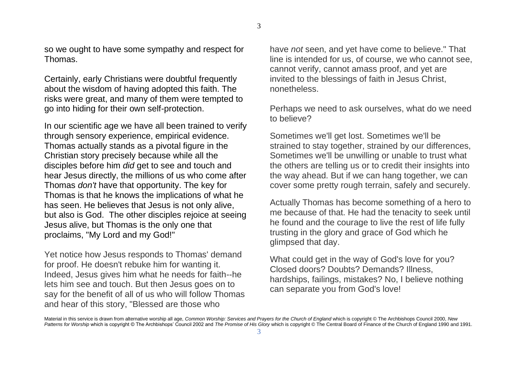so we ought to have some sympathy and respect for Thomas.

Certainly, early Christians were doubtful frequently about the wisdom of having adopted this faith. The risks were great, and many of them were tempted to go into hiding for their own self-protection.

In our scientific age we have all been trained to verify through sensory experience, empirical evidence. Thomas actually stands as a pivotal figure in the Christian story precisely because while all the disciples before him *did* get to see and touch and hear Jesus directly, the millions of us who come after Thomas *don't* have that opportunity. The key for Thomas is that he knows the implications of what he has seen. He believes that Jesus is not only alive, but also is God. The other disciples rejoice at seeing Jesus alive, but Thomas is the only one that proclaims, "My Lord and my God!"

Yet notice how Jesus responds to Thomas' demand for proof. He doesn't rebuke him for wanting it. Indeed, Jesus gives him what he needs for faith--he lets him see and touch. But then Jesus goes on to say for the benefit of all of us who will follow Thomas and hear of this story, "Blessed are those who

have *not* seen, and yet have come to believe." That line is intended for us, of course, we who cannot see, cannot verify, cannot amass proof, and yet are invited to the blessings of faith in Jesus Christ, nonetheless.

Perhaps we need to ask ourselves, what do we need to believe?

Sometimes we'll get lost. Sometimes we'll be strained to stay together, strained by our differences, Sometimes we'll be unwilling or unable to trust what the others are telling us or to credit their insights into the way ahead. But if we can hang together, we can cover some pretty rough terrain, safely and securely.

Actually Thomas has become something of a hero to me because of that. He had the tenacity to seek until he found and the courage to live the rest of life fully trusting in the glory and grace of God which he glimpsed that day.

What could get in the way of God's love for you? Closed doors? Doubts? Demands? Illness, hardships, failings, mistakes? No, I believe nothing can separate you from God's love!

Material in this service is drawn from alternative worship all age, *Common Worship: Services and Prayers for the Church of England* which is copyright © The Archbishops Council 2000, *New*  Patterns for Worship which is copyright © The Archbishops' Council 2002 and *The Promise of His Glory* which is copyright © The Central Board of Finance of the Church of England 1990 and 1991.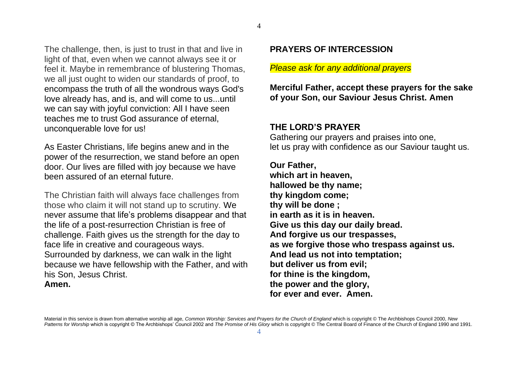The challenge, then, is just to trust in that and live in light of that, even when we cannot always see it or feel it. Maybe in remembrance of blustering Thomas, we all just ought to widen our standards of proof, to encompass the truth of all the wondrous ways God's love already has, and is, and will come to us...until we can say with joyful conviction: All I have seen teaches me to trust God assurance of eternal, unconquerable love for us!

As Easter Christians, life begins anew and in the power of the resurrection, we stand before an open door. Our lives are filled with joy because we have been assured of an eternal future.

The Christian faith will always face challenges from those who claim it will not stand up to scrutiny. We never assume that life's problems disappear and that the life of a post-resurrection Christian is free of challenge. Faith gives us the strength for the day to face life in creative and courageous ways. Surrounded by darkness, we can walk in the light because we have fellowship with the Father, and with his Son, Jesus Christ. **Amen.**

#### **PRAYERS OF INTERCESSION**

#### *Please ask for any additional prayers*

**Merciful Father, accept these prayers for the sake of your Son, our Saviour Jesus Christ. Amen**

#### **THE LORD'S PRAYER**

Gathering our prayers and praises into one, let us pray with confidence as our Saviour taught us.

#### **Our Father,**

**which art in heaven, hallowed be thy name; thy kingdom come; thy will be done ; in earth as it is in heaven. Give us this day our daily bread. And forgive us our trespasses, as we forgive those who trespass against us. And lead us not into temptation; but deliver us from evil; for thine is the kingdom, the power and the glory, for ever and ever. Amen.**

Material in this service is drawn from alternative worship all age, *Common Worship: Services and Prayers for the Church of England* which is copyright © The Archbishops Council 2000, *New*  Patterns for Worship which is copyright © The Archbishops' Council 2002 and *The Promise of His Glory* which is copyright © The Central Board of Finance of the Church of England 1990 and 1991.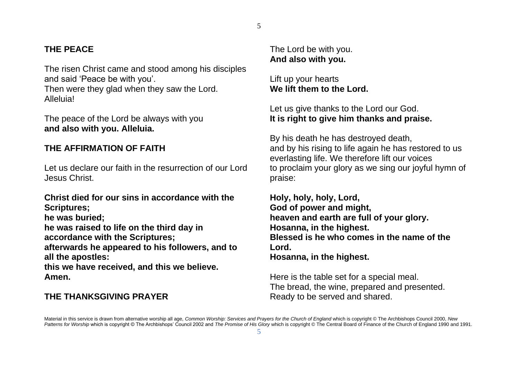# **THE PEACE**

The risen Christ came and stood among his disciples and said 'Peace be with you'.

Then were they glad when they saw the Lord. Alleluia!

The peace of the Lord be always with you **and also with you. Alleluia.**

### **THE AFFIRMATION OF FAITH**

Let us declare our faith in the resurrection of our Lord Jesus Christ.

**Christ died for our sins in accordance with the Scriptures;**

**he was buried;**

**he was raised to life on the third day in accordance with the Scriptures;**

**afterwards he appeared to his followers, and to all the apostles:**

**this we have received, and this we believe. Amen.**

#### **THE THANKSGIVING PRAYER**

The Lord be with you. **And also with you.**

Lift up your hearts **We lift them to the Lord.**

### Let us give thanks to the Lord our God. **It is right to give him thanks and praise.**

By his death he has destroyed death, and by his rising to life again he has restored to us everlasting life. We therefore lift our voices to proclaim your glory as we sing our joyful hymn of praise:

**Holy, holy, holy, Lord, God of power and might, heaven and earth are full of your glory. Hosanna, in the highest. Blessed is he who comes in the name of the Lord. Hosanna, in the highest.** 

Here is the table set for a special meal. The bread, the wine, prepared and presented. Ready to be served and shared.

Material in this service is drawn from alternative worship all age, *Common Worship: Services and Prayers for the Church of England* which is copyright © The Archbishops Council 2000, *New*  Patterns for Worship which is copyright © The Archbishops' Council 2002 and The Promise of His Glory which is copyright © The Central Board of Finance of the Church of England 1990 and 1991.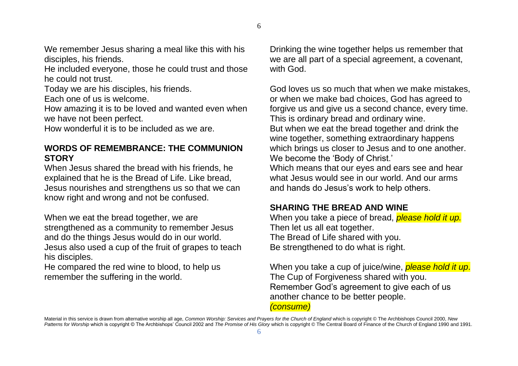We remember Jesus sharing a meal like this with his disciples, his friends.

He included everyone, those he could trust and those he could not trust.

Today we are his disciples, his friends.

Each one of us is welcome.

How amazing it is to be loved and wanted even when we have not been perfect.

How wonderful it is to be included as we are.

### **WORDS OF REMEMBRANCE: THE COMMUNION STORY**

When Jesus shared the bread with his friends, he explained that he is the Bread of Life. Like bread, Jesus nourishes and strengthens us so that we can know right and wrong and not be confused.

When we eat the bread together, we are strengthened as a community to remember Jesus and do the things Jesus would do in our world. Jesus also used a cup of the fruit of grapes to teach his disciples.

He compared the red wine to blood, to help us remember the suffering in the world.

Drinking the wine together helps us remember that we are all part of a special agreement, a covenant, with God.

God loves us so much that when we make mistakes, or when we make bad choices, God has agreed to forgive us and give us a second chance, every time. This is ordinary bread and ordinary wine. But when we eat the bread together and drink the wine together, something extraordinary happens which brings us closer to Jesus and to one another. We become the 'Body of Christ.' Which means that our eyes and ears see and hear what Jesus would see in our world. And our arms and hands do Jesus's work to help others.

### **SHARING THE BREAD AND WINE**

When you take a piece of bread, *please hold it up.* Then let us all eat together. The Bread of Life shared with you. Be strengthened to do what is right.

When you take a cup of juice/wine, *please hold it up*. The Cup of Forgiveness shared with you. Remember God's agreement to give each of us another chance to be better people.

#### *(consume)*

Material in this service is drawn from alternative worship all age, *Common Worship: Services and Prayers for the Church of England* which is copyright © The Archbishops Council 2000, *New Patterns for Worship* which is copyright © The Archbishops' Council 2002 and *The Promise of His Glory* which is copyright © The Central Board of Finance of the Church of England 1990 and 1991.